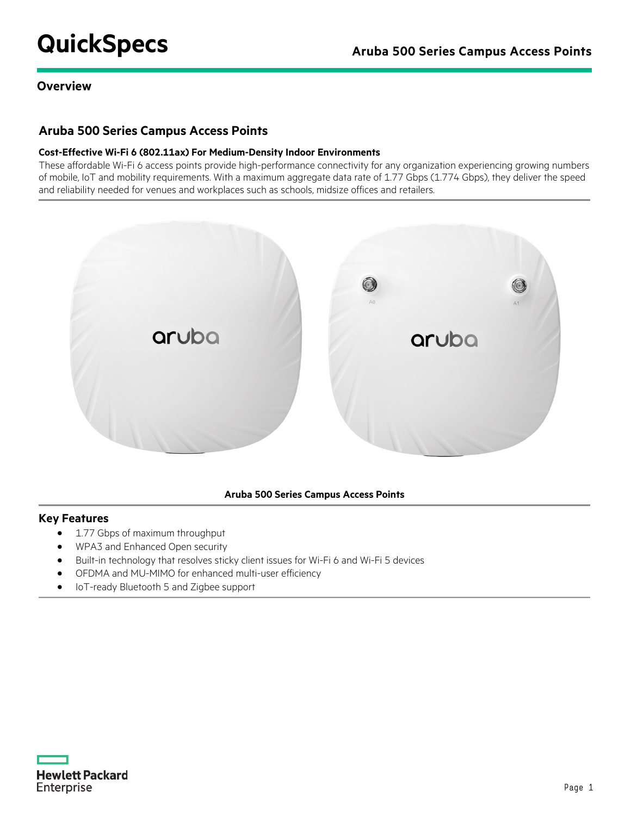# **QuickSpecs** Aruba 500 Series Campus Access Points

#### **Overview**

## **Aruba 500 Series Campus Access Points**

#### **Cost-Effective Wi-Fi 6 (802.11ax) For Medium-Density Indoor Environments**

These affordable Wi-Fi 6 access points provide high-performance connectivity for any organization experiencing growing numbers of mobile, IoT and mobility requirements. With a maximum aggregate data rate of 1.77 Gbps (1.774 Gbps), they deliver the speed and reliability needed for venues and workplaces such as schools, midsize offices and retailers.



#### **Aruba 500 Series Campus Access Points**

#### **Key Features**

- 1.77 Gbps of maximum throughput
- WPA3 and Enhanced Open security
- Built-in technology that resolves sticky client issues for Wi-Fi 6 and Wi-Fi 5 devices
- OFDMA and MU-MIMO for enhanced multi-user efficiency
- IoT-ready Bluetooth 5 and Zigbee support

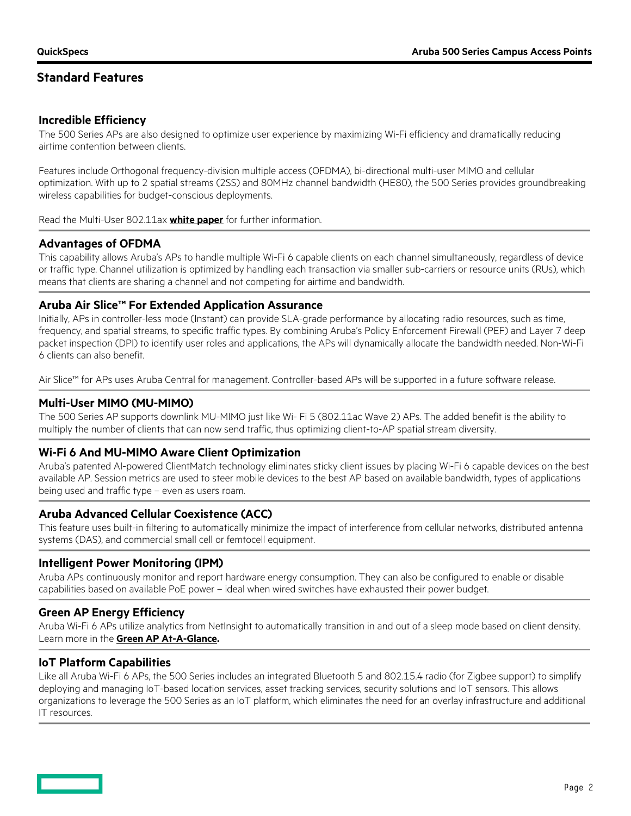# **Standard Features**

#### **Incredible Efficiency**

The 500 Series APs are also designed to optimize user experience by maximizing Wi-Fi efficiency and dramatically reducing airtime contention between clients.

Features include Orthogonal frequency-division multiple access (OFDMA), bi-directional multi-user MIMO and cellular optimization. With up to 2 spatial streams (2SS) and 80MHz channel bandwidth (HE80), the 500 Series provides groundbreaking wireless capabilities for budget-conscious deployments.

Read the Multi-User 802.11ax **[white paper](https://www.arubanetworks.com/assets/wp/WP_Multi-User-802.11ax.pdf)** for further information.

#### **Advantages of OFDMA**

This capability allows Aruba's APs to handle multiple Wi-Fi 6 capable clients on each channel simultaneously, regardless of device or traffic type. Channel utilization is optimized by handling each transaction via smaller sub-carriers or resource units (RUs), which means that clients are sharing a channel and not competing for airtime and bandwidth.

#### **Aruba Air Slice™ For Extended Application Assurance**

Initially, APs in controller-less mode (Instant) can provide SLA-grade performance by allocating radio resources, such as time, frequency, and spatial streams, to specific traffic types. By combining Aruba's Policy Enforcement Firewall (PEF) and Layer 7 deep packet inspection (DPI) to identify user roles and applications, the APs will dynamically allocate the bandwidth needed. Non-Wi-Fi 6 clients can also benefit.

Air Slice™ for APs uses Aruba Central for management. Controller-based APs will be supported in a future software release.

#### **Multi-User MIMO (MU-MIMO)**

The 500 Series AP supports downlink MU-MIMO just like Wi- Fi 5 (802.11ac Wave 2) APs. The added benefit is the ability to multiply the number of clients that can now send traffic, thus optimizing client-to-AP spatial stream diversity.

#### **Wi-Fi 6 And MU-MIMO Aware Client Optimization**

Aruba's patented AI-powered ClientMatch technology eliminates sticky client issues by placing Wi-Fi 6 capable devices on the best available AP. Session metrics are used to steer mobile devices to the best AP based on available bandwidth, types of applications being used and traffic type – even as users roam.

#### **Aruba Advanced Cellular Coexistence (ACC)**

This feature uses built-in filtering to automatically minimize the impact of interference from cellular networks, distributed antenna systems (DAS), and commercial small cell or femtocell equipment.

#### **Intelligent Power Monitoring (IPM)**

Aruba APs continuously monitor and report hardware energy consumption. They can also be configured to enable or disable capabilities based on available PoE power – ideal when wired switches have exhausted their power budget.

#### **Green AP Energy Efficiency**

Aruba Wi-Fi 6 APs utilize analytics from NetInsight to automatically transition in and out of a sleep mode based on client density. Learn more in the **[Green AP At-A-Glance.](https://www.arubanetworks.com/assets/eo/AAG_Green-AP.pdf)**

#### **IoT Platform Capabilities**

Like all Aruba Wi-Fi 6 APs, the 500 Series includes an integrated Bluetooth 5 and 802.15.4 radio (for Zigbee support) to simplify deploying and managing IoT-based location services, asset tracking services, security solutions and IoT sensors. This allows organizations to leverage the 500 Series as an IoT platform, which eliminates the need for an overlay infrastructure and additional IT resources.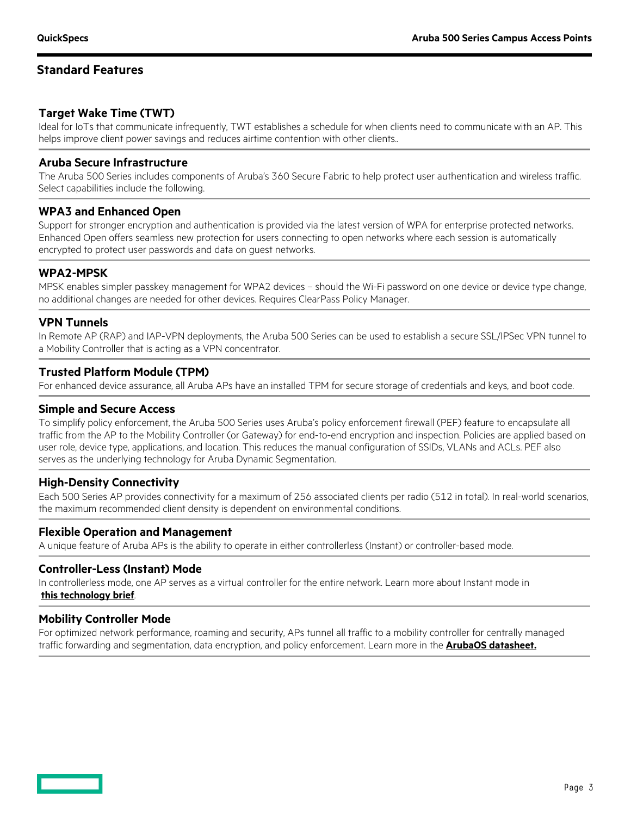## **Standard Features**

## **Target Wake Time (TWT)**

Ideal for IoTs that communicate infrequently, TWT establishes a schedule for when clients need to communicate with an AP. This helps improve client power savings and reduces airtime contention with other clients..

#### **Aruba Secure Infrastructure**

The Aruba 500 Series includes components of Aruba's 360 Secure Fabric to help protect user authentication and wireless traffic. Select capabilities include the following.

#### **WPA3 and Enhanced Open**

Support for stronger encryption and authentication is provided via the latest version of WPA for enterprise protected networks. Enhanced Open offers seamless new protection for users connecting to open networks where each session is automatically encrypted to protect user passwords and data on guest networks.

#### **WPA2-MPSK**

MPSK enables simpler passkey management for WPA2 devices – should the Wi-Fi password on one device or device type change, no additional changes are needed for other devices. Requires ClearPass Policy Manager.

#### **VPN Tunnels**

In Remote AP (RAP) and IAP-VPN deployments, the Aruba 500 Series can be used to establish a secure SSL/IPSec VPN tunnel to a Mobility Controller that is acting as a VPN concentrator.

#### **Trusted Platform Module (TPM)**

For enhanced device assurance, all Aruba APs have an installed TPM for secure storage of credentials and keys, and boot code.

#### **Simple and Secure Access**

To simplify policy enforcement, the Aruba 500 Series uses Aruba's policy enforcement firewall (PEF) feature to encapsulate all traffic from the AP to the Mobility Controller (or Gateway) for end-to-end encryption and inspection. Policies are applied based on user role, device type, applications, and location. This reduces the manual configuration of SSIDs, VLANs and ACLs. PEF also serves as the underlying technology for Aruba Dynamic Segmentation.

#### **High-Density Connectivity**

Each 500 Series AP provides connectivity for a maximum of 256 associated clients per radio (512 in total). In real-world scenarios, the maximum recommended client density is dependent on environmental conditions.

#### **Flexible Operation and Management**

A unique feature of Aruba APs is the ability to operate in either controllerless (Instant) or controller-based mode.

#### **Controller-Less (Instant) Mode**

In controllerless mode, one AP serves as a virtual controller for the entire network. Learn more about Instant mode in **[this technology brief](https://www.arubanetworks.com/assets/tg/TB_Instant-Wi-Fi.pdf)**.

#### **Mobility Controller Mode**

For optimized network performance, roaming and security, APs tunnel all traffic to a mobility controller for centrally managed traffic forwarding and segmentation, data encryption, and policy enforcement. Learn more in the **[ArubaOS datasheet.](https://www.arubanetworks.com/assets/ds/DS_ArubaOS.pdf)**

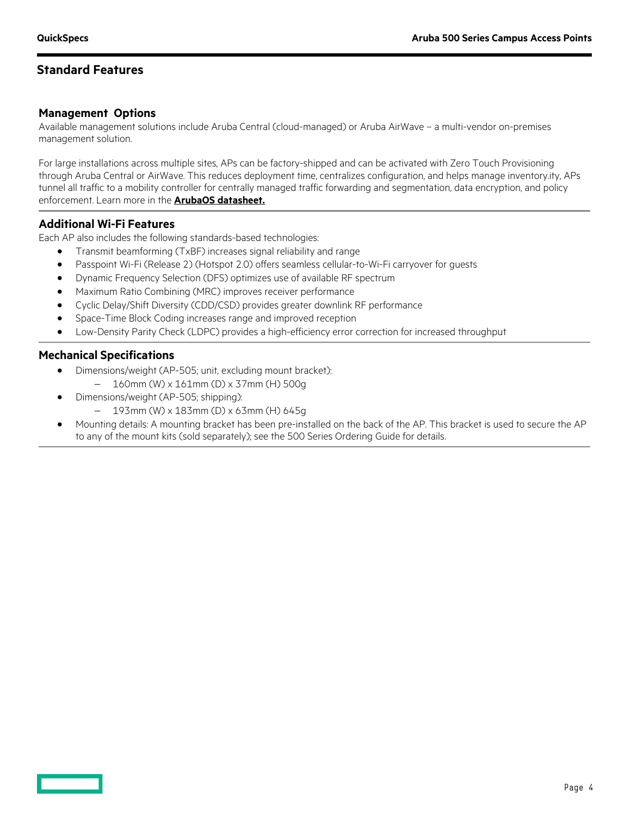## **Standard Features**

#### **Management Options**

Available management solutions include Aruba Central (cloud-managed) or Aruba AirWave – a multi-vendor on-premises management solution.

For large installations across multiple sites, APs can be factory-shipped and can be activated with Zero Touch Provisioning through Aruba Central or AirWave. This reduces deployment time, centralizes configuration, and helps manage inventory.ity, APs tunnel all traffic to a mobility controller for centrally managed traffic forwarding and segmentation, data encryption, and policy enforcement. Learn more in the **[ArubaOS datasheet.](https://www.arubanetworks.com/assets/ds/DS_ArubaOS.pdf)**

#### **Additional Wi-Fi Features**

Each AP also includes the following standards-based technologies:

- Transmit beamforming (TxBF) increases signal reliability and range
- Passpoint Wi-Fi (Release 2) (Hotspot 2.0) offers seamless cellular-to-Wi-Fi carryover for guests
- Dynamic Frequency Selection (DFS) optimizes use of available RF spectrum
- Maximum Ratio Combining (MRC) improves receiver performance
- Cyclic Delay/Shift Diversity (CDD/CSD) provides greater downlink RF performance
- Space-Time Block Coding increases range and improved reception
- Low-Density Parity Check (LDPC) provides a high-efficiency error correction for increased throughput

#### **Mechanical Specifications**

- Dimensions/weight (AP-505; unit, excluding mount bracket):
	- − 160mm (W) x 161mm (D) x 37mm (H) 500g
- Dimensions/weight (AP-505; shipping):
	- − 193mm (W) x 183mm (D) x 63mm (H) 645g
- Mounting details: A mounting bracket has been pre-installed on the back of the AP. This bracket is used to secure the AP to any of the mount kits (sold separately); see the 500 Series Ordering Guide for details.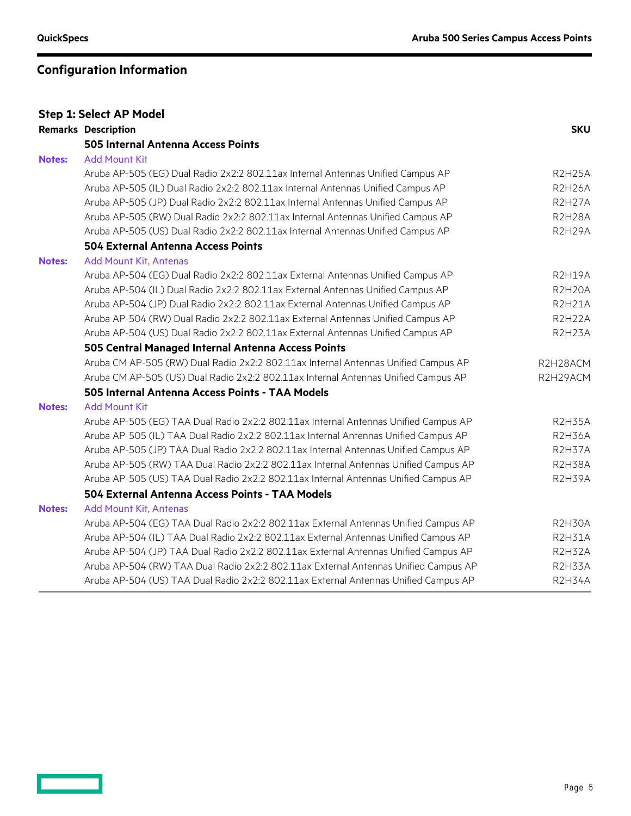|               | <b>Step 1: Select AP Model</b>                                                      |               |
|---------------|-------------------------------------------------------------------------------------|---------------|
|               | <b>Remarks Description</b>                                                          | <b>SKU</b>    |
|               | 505 Internal Antenna Access Points                                                  |               |
| <b>Notes:</b> | <b>Add Mount Kit</b>                                                                |               |
|               | Aruba AP-505 (EG) Dual Radio 2x2:2 802.11ax Internal Antennas Unified Campus AP     | <b>R2H25A</b> |
|               | Aruba AP-505 (IL) Dual Radio 2x2:2 802.11ax Internal Antennas Unified Campus AP     | <b>R2H26A</b> |
|               | Aruba AP-505 (JP) Dual Radio 2x2:2 802.11ax Internal Antennas Unified Campus AP     | <b>R2H27A</b> |
|               | Aruba AP-505 (RW) Dual Radio 2x2:2 802.11ax Internal Antennas Unified Campus AP     | R2H28A        |
|               | Aruba AP-505 (US) Dual Radio 2x2:2 802.11ax Internal Antennas Unified Campus AP     | <b>R2H29A</b> |
|               | <b>504 External Antenna Access Points</b>                                           |               |
| <b>Notes:</b> | Add Mount Kit, Antenas                                                              |               |
|               | Aruba AP-504 (EG) Dual Radio 2x2:2 802.11ax External Antennas Unified Campus AP     | <b>R2H19A</b> |
|               | Aruba AP-504 (IL) Dual Radio 2x2:2 802.11ax External Antennas Unified Campus AP     | <b>R2H2OA</b> |
|               | Aruba AP-504 (JP) Dual Radio 2x2:2 802.11ax External Antennas Unified Campus AP     | <b>R2H21A</b> |
|               | Aruba AP-504 (RW) Dual Radio 2x2:2 802.11ax External Antennas Unified Campus AP     | <b>R2H22A</b> |
|               | Aruba AP-504 (US) Dual Radio 2x2:2 802.11ax External Antennas Unified Campus AP     | R2H23A        |
|               | 505 Central Managed Internal Antenna Access Points                                  |               |
|               | Aruba CM AP-505 (RW) Dual Radio 2x2:2 802.11ax Internal Antennas Unified Campus AP  | R2H28ACM      |
|               | Aruba CM AP-505 (US) Dual Radio 2x2:2 802.11ax Internal Antennas Unified Campus AP  | R2H29ACM      |
|               | 505 Internal Antenna Access Points - TAA Models                                     |               |
| <b>Notes:</b> | <b>Add Mount Kit</b>                                                                |               |
|               | Aruba AP-505 (EG) TAA Dual Radio 2x2:2 802.11ax Internal Antennas Unified Campus AP | <b>R2H35A</b> |
|               | Aruba AP-505 (IL) TAA Dual Radio 2x2:2 802.11ax Internal Antennas Unified Campus AP | <b>R2H36A</b> |
|               | Aruba AP-505 (JP) TAA Dual Radio 2x2:2 802.11ax Internal Antennas Unified Campus AP | R2H37A        |
|               | Aruba AP-505 (RW) TAA Dual Radio 2x2:2 802.11ax Internal Antennas Unified Campus AP | <b>R2H38A</b> |
|               | Aruba AP-505 (US) TAA Dual Radio 2x2:2 802.11ax Internal Antennas Unified Campus AP | R2H39A        |
|               | 504 External Antenna Access Points - TAA Models                                     |               |
| <b>Notes:</b> | Add Mount Kit, Antenas                                                              |               |
|               | Aruba AP-504 (EG) TAA Dual Radio 2x2:2 802.11ax External Antennas Unified Campus AP | <b>R2H30A</b> |
|               | Aruba AP-504 (IL) TAA Dual Radio 2x2:2 802.11ax External Antennas Unified Campus AP | <b>R2H31A</b> |
|               | Aruba AP-504 (JP) TAA Dual Radio 2x2:2 802.11ax External Antennas Unified Campus AP | R2H32A        |
|               | Aruba AP-504 (RW) TAA Dual Radio 2x2:2 802.11ax External Antennas Unified Campus AP | R2H33A        |
|               | Aruba AP-504 (US) TAA Dual Radio 2x2:2 802.11ax External Antennas Unified Campus AP | <b>R2H34A</b> |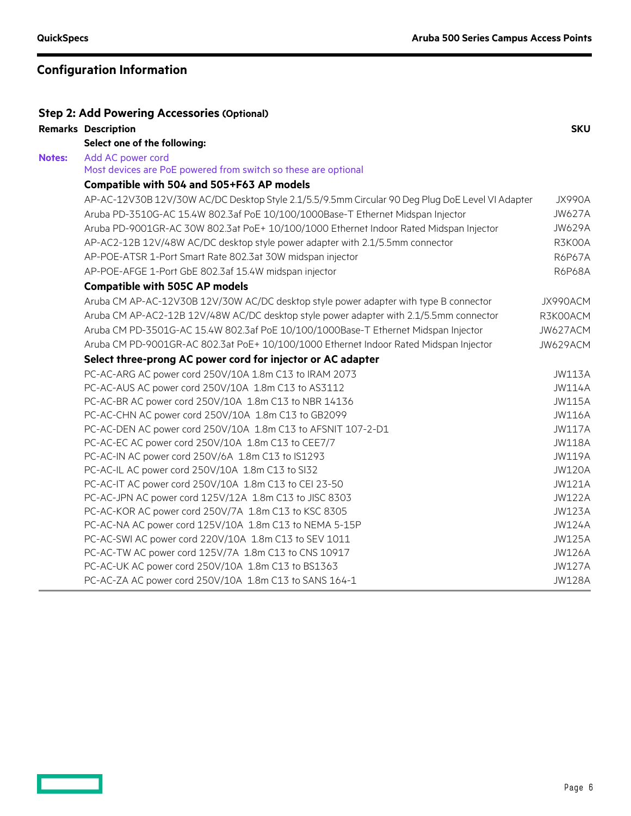|               | <b>Step 2: Add Powering Accessories (Optional)</b>                                               |               |
|---------------|--------------------------------------------------------------------------------------------------|---------------|
|               | <b>Remarks Description</b>                                                                       | <b>SKU</b>    |
|               | Select one of the following:                                                                     |               |
| <b>Notes:</b> | Add AC power cord                                                                                |               |
|               | Most devices are PoE powered from switch so these are optional                                   |               |
|               | Compatible with 504 and 505+F63 AP models                                                        |               |
|               | AP-AC-12V30B 12V/30W AC/DC Desktop Style 2.1/5.5/9.5mm Circular 90 Deg Plug DoE Level VI Adapter | <b>JX990A</b> |
|               | Aruba PD-3510G-AC 15.4W 802.3af PoE 10/100/1000Base-T Ethernet Midspan Injector                  | <b>JW627A</b> |
|               | Aruba PD-9001GR-AC 30W 802.3at PoE+ 10/100/1000 Ethernet Indoor Rated Midspan Injector           | <b>JW629A</b> |
|               | AP-AC2-12B 12V/48W AC/DC desktop style power adapter with 2.1/5.5mm connector                    | R3K00A        |
|               | AP-POE-ATSR 1-Port Smart Rate 802.3at 30W midspan injector                                       | <b>R6P67A</b> |
|               | AP-POE-AFGE 1-Port GbE 802.3af 15.4W midspan injector                                            | <b>R6P68A</b> |
|               | <b>Compatible with 505C AP models</b>                                                            |               |
|               | Aruba CM AP-AC-12V30B 12V/30W AC/DC desktop style power adapter with type B connector            | JX990ACM      |
|               | Aruba CM AP-AC2-12B 12V/48W AC/DC desktop style power adapter with 2.1/5.5mm connector           | R3K00ACM      |
|               | Aruba CM PD-3501G-AC 15.4W 802.3af PoE 10/100/1000Base-T Ethernet Midspan Injector               | JW627ACM      |
|               | Aruba CM PD-9001GR-AC 802.3at PoE+ 10/100/1000 Ethernet Indoor Rated Midspan Injector            | JW629ACM      |
|               | Select three-prong AC power cord for injector or AC adapter                                      |               |
|               | PC-AC-ARG AC power cord 250V/10A 1.8m C13 to IRAM 2073                                           | <b>JW113A</b> |
|               | PC-AC-AUS AC power cord 250V/10A 1.8m C13 to AS3112                                              | <b>JW114A</b> |
|               | PC-AC-BR AC power cord 250V/10A 1.8m C13 to NBR 14136                                            | <b>JW115A</b> |
|               | PC-AC-CHN AC power cord 250V/10A 1.8m C13 to GB2099                                              | <b>JW116A</b> |
|               | PC-AC-DEN AC power cord 250V/10A 1.8m C13 to AFSNIT 107-2-D1                                     | <b>JW117A</b> |
|               | PC-AC-EC AC power cord 250V/10A 1.8m C13 to CEE7/7                                               | <b>JW118A</b> |
|               | PC-AC-IN AC power cord 250V/6A 1.8m C13 to IS1293                                                | <b>JW119A</b> |
|               | PC-AC-IL AC power cord 250V/10A 1.8m C13 to SI32                                                 | <b>JW120A</b> |
|               | PC-AC-IT AC power cord 250V/10A 1.8m C13 to CEI 23-50                                            | <b>JW121A</b> |
|               | PC-AC-JPN AC power cord 125V/12A 1.8m C13 to JISC 8303                                           | <b>JW122A</b> |
|               | PC-AC-KOR AC power cord 250V/7A 1.8m C13 to KSC 8305                                             | <b>JW123A</b> |
|               | PC-AC-NA AC power cord 125V/10A 1.8m C13 to NEMA 5-15P                                           | <b>JW124A</b> |
|               | PC-AC-SWI AC power cord 220V/10A 1.8m C13 to SEV 1011                                            | <b>JW125A</b> |
|               | PC-AC-TW AC power cord 125V/7A 1.8m C13 to CNS 10917                                             | <b>JW126A</b> |
|               | PC-AC-UK AC power cord 250V/10A 1.8m C13 to BS1363                                               | <b>JW127A</b> |
|               | PC-AC-ZA AC power cord 250V/10A 1.8m C13 to SANS 164-1                                           | <b>JW128A</b> |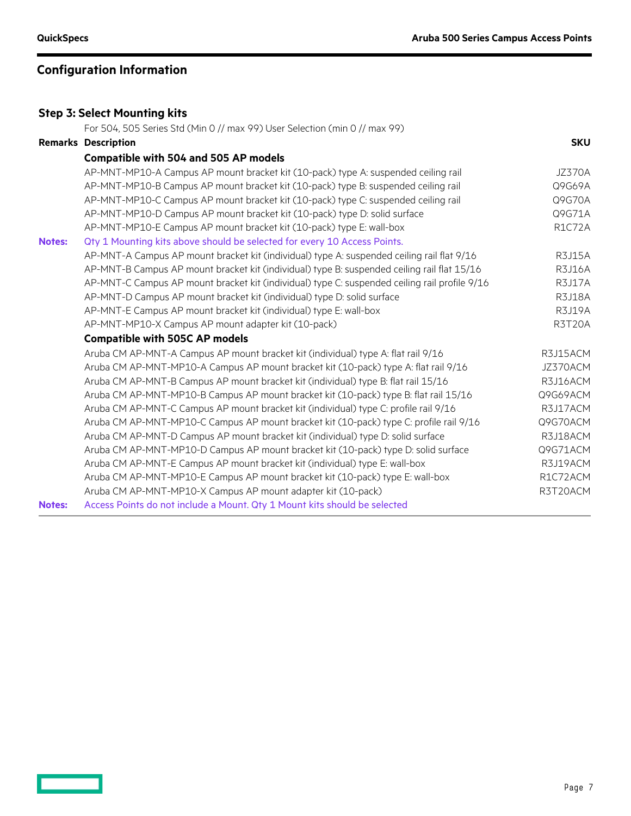|               | <b>Step 3: Select Mounting kits</b>                                                           |               |
|---------------|-----------------------------------------------------------------------------------------------|---------------|
|               | For 504, 505 Series Std (Min 0 // max 99) User Selection (min 0 // max 99)                    |               |
|               | <b>Remarks Description</b>                                                                    | <b>SKU</b>    |
|               | <b>Compatible with 504 and 505 AP models</b>                                                  |               |
|               | AP-MNT-MP10-A Campus AP mount bracket kit (10-pack) type A: suspended ceiling rail            | JZ370A        |
|               | AP-MNT-MP10-B Campus AP mount bracket kit (10-pack) type B: suspended ceiling rail            | Q9G69A        |
|               | AP-MNT-MP10-C Campus AP mount bracket kit (10-pack) type C: suspended ceiling rail            | Q9G70A        |
|               | AP-MNT-MP10-D Campus AP mount bracket kit (10-pack) type D: solid surface                     | Q9G71A        |
|               | AP-MNT-MP10-E Campus AP mount bracket kit (10-pack) type E: wall-box                          | <b>R1C72A</b> |
| <b>Notes:</b> | Qty 1 Mounting kits above should be selected for every 10 Access Points.                      |               |
|               | AP-MNT-A Campus AP mount bracket kit (individual) type A: suspended ceiling rail flat 9/16    | <b>R3J15A</b> |
|               | AP-MNT-B Campus AP mount bracket kit (individual) type B: suspended ceiling rail flat 15/16   | <b>R3J16A</b> |
|               | AP-MNT-C Campus AP mount bracket kit (individual) type C: suspended ceiling rail profile 9/16 | <b>R3J17A</b> |
|               | AP-MNT-D Campus AP mount bracket kit (individual) type D: solid surface                       | R3J18A        |
|               | AP-MNT-E Campus AP mount bracket kit (individual) type E: wall-box                            | R3J19A        |
|               | AP-MNT-MP10-X Campus AP mount adapter kit (10-pack)                                           | <b>R3T20A</b> |
|               | <b>Compatible with 505C AP models</b>                                                         |               |
|               | Aruba CM AP-MNT-A Campus AP mount bracket kit (individual) type A: flat rail 9/16             | R3J15ACM      |
|               | Aruba CM AP-MNT-MP10-A Campus AP mount bracket kit (10-pack) type A: flat rail 9/16           | JZ370ACM      |
|               | Aruba CM AP-MNT-B Campus AP mount bracket kit (individual) type B: flat rail 15/16            | R3J16ACM      |
|               | Aruba CM AP-MNT-MP10-B Campus AP mount bracket kit (10-pack) type B: flat rail 15/16          | Q9G69ACM      |
|               | Aruba CM AP-MNT-C Campus AP mount bracket kit (individual) type C: profile rail 9/16          | R3J17ACM      |
|               | Aruba CM AP-MNT-MP10-C Campus AP mount bracket kit (10-pack) type C: profile rail 9/16        | Q9G70ACM      |
|               | Aruba CM AP-MNT-D Campus AP mount bracket kit (individual) type D: solid surface              | R3J18ACM      |
|               | Aruba CM AP-MNT-MP10-D Campus AP mount bracket kit (10-pack) type D: solid surface            | Q9G71ACM      |
|               | Aruba CM AP-MNT-E Campus AP mount bracket kit (individual) type E: wall-box                   | R3J19ACM      |
|               | Aruba CM AP-MNT-MP10-E Campus AP mount bracket kit (10-pack) type E: wall-box                 | R1C72ACM      |
|               | Aruba CM AP-MNT-MP10-X Campus AP mount adapter kit (10-pack)                                  | R3T20ACM      |
| <b>Notes:</b> | Access Points do not include a Mount. Qty 1 Mount kits should be selected                     |               |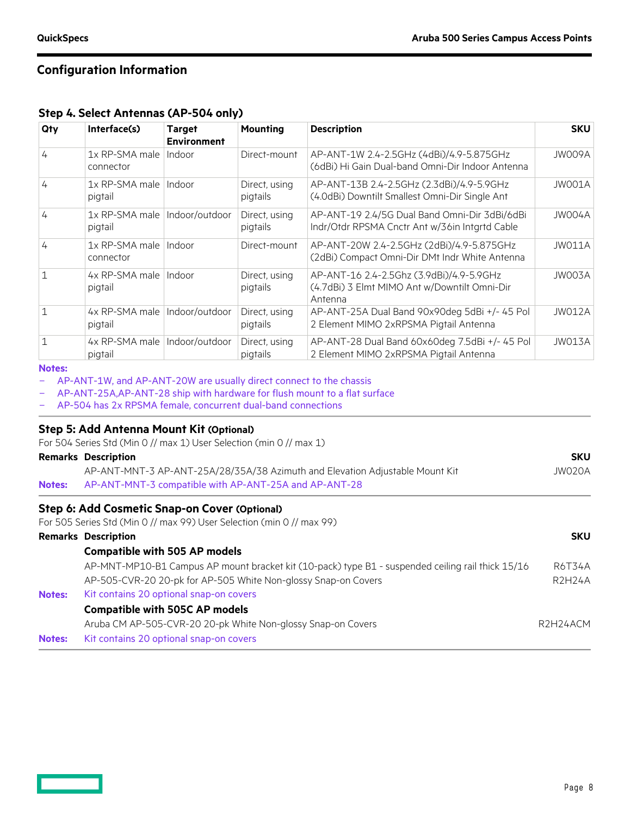**Step 4. Select Antennas (AP-504 only)**

| Qty          | Interface(s)                | <b>Target</b><br><b>Environment</b> | <b>Mounting</b>           | <b>Description</b>                                                                                  | <b>SKU</b> |
|--------------|-----------------------------|-------------------------------------|---------------------------|-----------------------------------------------------------------------------------------------------|------------|
| 4            | 1x RP-SMA male<br>connector | Indoor                              | Direct-mount              | AP-ANT-1W 2.4-2.5GHz (4dBi)/4.9-5.875GHz<br>(6dBi) Hi Gain Dual-band Omni-Dir Indoor Antenna        | JW009A     |
| 4            | 1x RP-SMA male<br>pigtail   | Indoor                              | Direct, using<br>pigtails | AP-ANT-13B 2.4-2.5GHz (2.3dBi)/4.9-5.9GHz<br>(4.0dBi) Downtilt Smallest Omni-Dir Single Ant         | JW001A     |
| 4            | 1x RP-SMA male<br>pigtail   | Indoor/outdoor                      | Direct, using<br>pigtails | AP-ANT-19 2.4/5G Dual Band Omni-Dir 3dBi/6dBi<br>Indr/Otdr RPSMA Cnctr Ant w/36in Intartd Cable     | JW004A     |
| 4            | 1x RP-SMA male<br>connector | Indoor                              | Direct-mount              | AP-ANT-20W 2.4-2.5GHz (2dBi)/4.9-5.875GHz<br>(2dBi) Compact Omni-Dir DMt Indr White Antenna         | JW011A     |
| $\mathbf{1}$ | 4x RP-SMA male<br>pigtail   | Indoor                              | Direct, using<br>pigtails | AP-ANT-16 2.4-2.5Ghz (3.9dBi)/4.9-5.9GHz<br>(4.7dBi) 3 Elmt MIMO Ant w/Downtilt Omni-Dir<br>Antenna | JW003A     |
| 1            | 4x RP-SMA male<br>pigtail   | Indoor/outdoor                      | Direct, using<br>pigtails | AP-ANT-25A Dual Band 90x90deg 5dBi +/- 45 Pol<br>2 Element MIMO 2xRPSMA Pigtail Antenna             | JW012A     |
| $\mathbf{1}$ | 4x RP-SMA male<br>pigtail   | Indoor/outdoor                      | Direct, using<br>pigtails | AP-ANT-28 Dual Band 60x60deg 7.5dBi +/- 45 Pol<br>2 Element MIMO 2xRPSMA Pigtail Antenna            | JW013A     |

#### **Notes:**

AP-ANT-1W, and AP-ANT-20W are usually direct connect to the chassis

- AP-ANT-25A,AP-ANT-28 ship with hardware for flush mount to a flat surface
- AP-504 has 2x RPSMA female, concurrent dual-band connections

#### **Step 5: Add Antenna Mount Kit (Optional)**

For 504 Series Std (Min 0 // max 1) User Selection (min 0 // max 1)

|               | <b>Remarks Description</b>                                                                        |               |  |
|---------------|---------------------------------------------------------------------------------------------------|---------------|--|
|               | AP-ANT-MNT-3 AP-ANT-25A/28/35A/38 Azimuth and Elevation Adjustable Mount Kit                      | JW020A        |  |
| <b>Notes:</b> | AP-ANT-MNT-3 compatible with AP-ANT-25A and AP-ANT-28                                             |               |  |
|               | Step 6: Add Cosmetic Snap-on Cover (Optional)                                                     |               |  |
|               | For 505 Series Std (Min 0 // max 99) User Selection (min 0 // max 99)                             |               |  |
|               | <b>Remarks Description</b>                                                                        | <b>SKU</b>    |  |
|               | <b>Compatible with 505 AP models</b>                                                              |               |  |
|               | AP-MNT-MP10-B1 Campus AP mount bracket kit (10-pack) type B1 - suspended ceiling rail thick 15/16 | <b>R6T34A</b> |  |
|               | AP-505-CVR-20 20-pk for AP-505 White Non-glossy Snap-on Covers                                    | R2H24A        |  |
| <b>Notes:</b> | Kit contains 20 optional snap-on covers                                                           |               |  |
|               | <b>Compatible with 505C AP models</b>                                                             |               |  |
|               | Aruba CM AP-505-CVR-20 20-pk White Non-glossy Snap-on Covers                                      | R2H24ACM      |  |
| <b>Notes:</b> | Kit contains 20 optional snap-on covers                                                           |               |  |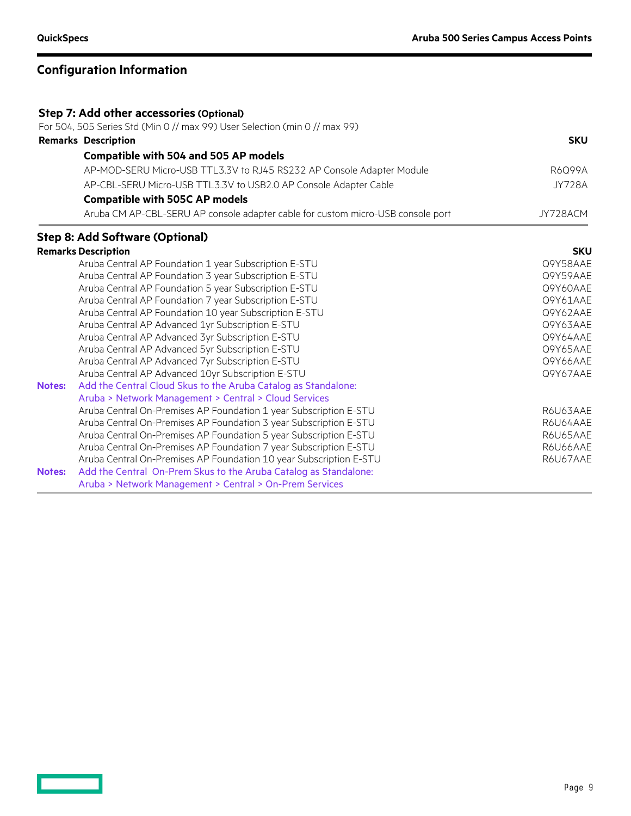| <b>Step 7: Add other accessories (Optional)</b> |                                                                                 |               |  |  |
|-------------------------------------------------|---------------------------------------------------------------------------------|---------------|--|--|
|                                                 | For 504, 505 Series Std (Min 0 // max 99) User Selection (min 0 // max 99)      |               |  |  |
|                                                 | <b>Remarks Description</b>                                                      | <b>SKU</b>    |  |  |
|                                                 | <b>Compatible with 504 and 505 AP models</b>                                    |               |  |  |
|                                                 | AP-MOD-SERU Micro-USB TTL3.3V to RJ45 RS232 AP Console Adapter Module           | R6Q99A        |  |  |
|                                                 | AP-CBL-SERU Micro-USB TTL3.3V to USB2.0 AP Console Adapter Cable                | <b>JY728A</b> |  |  |
|                                                 | <b>Compatible with 505C AP models</b>                                           |               |  |  |
|                                                 | Aruba CM AP-CBL-SERU AP console adapter cable for custom micro-USB console port | JY728ACM      |  |  |
|                                                 | <b>Step 8: Add Software (Optional)</b>                                          |               |  |  |
|                                                 | <b>Remarks Description</b>                                                      | <b>SKU</b>    |  |  |
|                                                 | Aruba Central AP Foundation 1 year Subscription E-STU                           | Q9Y58AAE      |  |  |
|                                                 | Aruba Central AP Foundation 3 year Subscription E-STU                           | Q9Y59AAE      |  |  |
|                                                 | Aruba Central AP Foundation 5 year Subscription E-STU                           | Q9Y60AAE      |  |  |
|                                                 | Aruba Central AP Foundation 7 year Subscription E-STU                           | Q9Y61AAE      |  |  |
|                                                 | Aruba Central AP Foundation 10 year Subscription E-STU                          | Q9Y62AAE      |  |  |
|                                                 | Aruba Central AP Advanced 1yr Subscription E-STU                                | Q9Y63AAE      |  |  |
|                                                 | Aruba Central AP Advanced 3yr Subscription E-STU                                | Q9Y64AAE      |  |  |
|                                                 | Aruba Central AP Advanced 5yr Subscription E-STU                                | Q9Y65AAE      |  |  |
|                                                 | Aruba Central AP Advanced 7yr Subscription E-STU                                | Q9Y66AAE      |  |  |
|                                                 | Aruba Central AP Advanced 10yr Subscription E-STU                               | Q9Y67AAE      |  |  |
| <b>Notes:</b>                                   | Add the Central Cloud Skus to the Aruba Catalog as Standalone:                  |               |  |  |
|                                                 | Aruba > Network Management > Central > Cloud Services                           |               |  |  |
|                                                 | Aruba Central On-Premises AP Foundation 1 year Subscription E-STU               | R6U63AAE      |  |  |
|                                                 | Aruba Central On-Premises AP Foundation 3 year Subscription E-STU               | R6U64AAE      |  |  |
|                                                 | Aruba Central On-Premises AP Foundation 5 year Subscription E-STU               | R6U65AAE      |  |  |
|                                                 | Aruba Central On-Premises AP Foundation 7 year Subscription E-STU               | R6U66AAE      |  |  |
|                                                 | Aruba Central On-Premises AP Foundation 10 year Subscription E-STU              | R6U67AAE      |  |  |
| <b>Notes:</b>                                   | Add the Central On-Prem Skus to the Aruba Catalog as Standalone:                |               |  |  |
|                                                 | Aruba > Network Management > Central > On-Prem Services                         |               |  |  |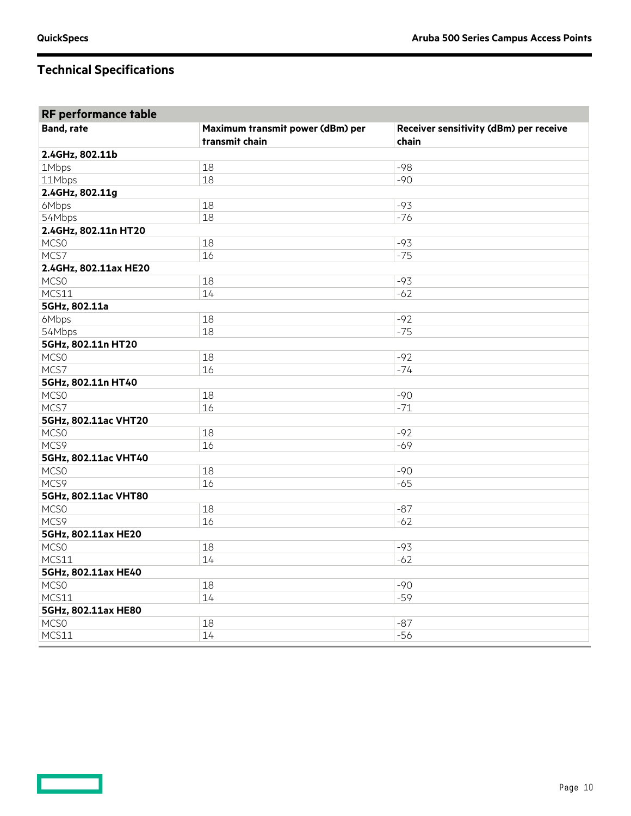| RF performance table  |                                  |                                        |  |  |  |
|-----------------------|----------------------------------|----------------------------------------|--|--|--|
| <b>Band, rate</b>     | Maximum transmit power (dBm) per | Receiver sensitivity (dBm) per receive |  |  |  |
|                       | transmit chain                   | chain                                  |  |  |  |
| 2.4GHz, 802.11b       |                                  |                                        |  |  |  |
| 1Mbps                 | 18                               | $-98$                                  |  |  |  |
| 11Mbps                | 18                               | $-90$                                  |  |  |  |
| 2.4GHz, 802.11g       |                                  |                                        |  |  |  |
| 6Mbps                 | 18                               | $-93$                                  |  |  |  |
| 54Mbps                | 18                               | $-76$                                  |  |  |  |
| 2.4GHz, 802.11n HT20  |                                  |                                        |  |  |  |
| MCSO                  | 18                               | $-93$                                  |  |  |  |
| MCS7                  | 16                               | $-75$                                  |  |  |  |
| 2.4GHz, 802.11ax HE20 |                                  |                                        |  |  |  |
| MCS <sub>0</sub>      | 18                               | $-93$                                  |  |  |  |
| MCS11                 | 14                               | $-62$                                  |  |  |  |
| 5GHz, 802.11a         |                                  |                                        |  |  |  |
| 6Mbps                 | 18                               | $-92$                                  |  |  |  |
| 54Mbps                | 18                               | $-75$                                  |  |  |  |
| 5GHz, 802.11n HT20    |                                  |                                        |  |  |  |
| MCS <sub>0</sub>      | 18                               | $-92$                                  |  |  |  |
| MCS7                  | 16                               | $-74$                                  |  |  |  |
| 5GHz, 802.11n HT40    |                                  |                                        |  |  |  |
| MCSO                  | 18                               | $-90$                                  |  |  |  |
| MCS7                  | 16                               | $-71$                                  |  |  |  |
| 5GHz, 802.11ac VHT20  |                                  |                                        |  |  |  |
| MCS <sub>0</sub>      | 18                               | $-92$                                  |  |  |  |
| MCS9                  | 16                               | $-69$                                  |  |  |  |
| 5GHz, 802.11ac VHT40  |                                  |                                        |  |  |  |
| MCS <sub>0</sub>      | 18                               | $-90$                                  |  |  |  |
| MCS9                  | 16                               | $-65$                                  |  |  |  |
| 5GHz, 802.11ac VHT80  |                                  |                                        |  |  |  |
| <b>MCSO</b>           | 18                               | $-87$                                  |  |  |  |
| MCS9                  | 16                               | $-62$                                  |  |  |  |
| 5GHz, 802.11ax HE20   |                                  |                                        |  |  |  |
| MCS <sub>0</sub>      | 18                               | $-93$                                  |  |  |  |
| MCS11                 | 14                               | $-62$                                  |  |  |  |
| 5GHz, 802.11ax HE40   |                                  |                                        |  |  |  |
| MCS <sub>0</sub>      | 18                               | $-90$                                  |  |  |  |
| MCS11                 | 14                               | $-59$                                  |  |  |  |
| 5GHz, 802.11ax HE80   |                                  |                                        |  |  |  |
| MCSO                  | 18                               | $-87$                                  |  |  |  |
| MCS11                 | 14                               | $-56$                                  |  |  |  |
|                       |                                  |                                        |  |  |  |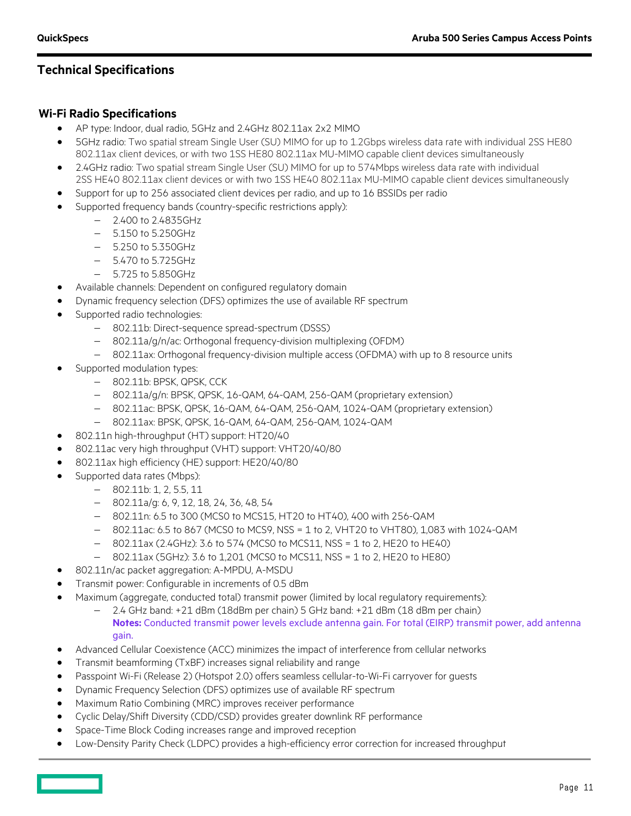#### **Wi-Fi Radio Specifications**

- AP type: Indoor, dual radio, 5GHz and 2.4GHz 802.11ax 2x2 MIMO
- 5GHz radio: Two spatial stream Single User (SU) MIMO for up to 1.2Gbps wireless data rate with individual 2SS HE80 802.11ax client devices, or with two 1SS HE80 802.11ax MU-MIMO capable client devices simultaneously
- 2.4GHz radio: Two spatial stream Single User (SU) MIMO for up to 574Mbps wireless data rate with individual 2SS HE40 802.11ax client devices or with two 1SS HE40 802.11ax MU-MIMO capable client devices simultaneously
- Support for up to 256 associated client devices per radio, and up to 16 BSSIDs per radio
- Supported frequency bands (country-specific restrictions apply):
	- − 2.400 to 2.4835GHz
	- − 5.150 to 5.250GHz
	- − 5.250 to 5.350GHz
	- − 5.470 to 5.725GHz
	- − 5.725 to 5.850GHz
- Available channels: Dependent on configured regulatory domain
- Dynamic frequency selection (DFS) optimizes the use of available RF spectrum
- Supported radio technologies:
	- − 802.11b: Direct-sequence spread-spectrum (DSSS)
	- − 802.11a/g/n/ac: Orthogonal frequency-division multiplexing (OFDM)
	- − 802.11ax: Orthogonal frequency-division multiple access (OFDMA) with up to 8 resource units
- Supported modulation types:
	- − 802.11b: BPSK, QPSK, CCK
	- − 802.11a/g/n: BPSK, QPSK, 16-QAM, 64-QAM, 256-QAM (proprietary extension)
	- − 802.11ac: BPSK, QPSK, 16-QAM, 64-QAM, 256-QAM, 1024-QAM (proprietary extension)
	- − 802.11ax: BPSK, QPSK, 16-QAM, 64-QAM, 256-QAM, 1024-QAM
- 802.11n high-throughput (HT) support: HT20/40
- 802.11ac very high throughput (VHT) support: VHT20/40/80
- 802.11ax high efficiency (HE) support: HE20/40/80
- Supported data rates (Mbps):
	- − 802.11b: 1, 2, 5.5, 11
		- − 802.11a/g: 6, 9, 12, 18, 24, 36, 48, 54
		- − 802.11n: 6.5 to 300 (MCS0 to MCS15, HT20 to HT40), 400 with 256-QAM
		- − 802.11ac: 6.5 to 867 (MCS0 to MCS9, NSS = 1 to 2, VHT20 to VHT80), 1,083 with 1024-QAM
		- − 802.11ax (2.4GHz): 3.6 to 574 (MCS0 to MCS11, NSS = 1 to 2, HE20 to HE40)
		- − 802.11ax (5GHz): 3.6 to 1,201 (MCS0 to MCS11, NSS = 1 to 2, HE20 to HE80)
- 802.11n/ac packet aggregation: A-MPDU, A-MSDU
- Transmit power: Configurable in increments of 0.5 dBm
- Maximum (aggregate, conducted total) transmit power (limited by local regulatory requirements):
	- − 2.4 GHz band: +21 dBm (18dBm per chain) 5 GHz band: +21 dBm (18 dBm per chain) **Notes:** Conducted transmit power levels exclude antenna gain. For total (EIRP) transmit power, add antenna gain.
- Advanced Cellular Coexistence (ACC) minimizes the impact of interference from cellular networks
- Transmit beamforming (TxBF) increases signal reliability and range
- Passpoint Wi-Fi (Release 2) (Hotspot 2.0) offers seamless cellular-to-Wi-Fi carryover for guests
- Dynamic Frequency Selection (DFS) optimizes use of available RF spectrum
- Maximum Ratio Combining (MRC) improves receiver performance
- Cyclic Delay/Shift Diversity (CDD/CSD) provides greater downlink RF performance
- Space-Time Block Coding increases range and improved reception
- Low-Density Parity Check (LDPC) provides a high-efficiency error correction for increased throughput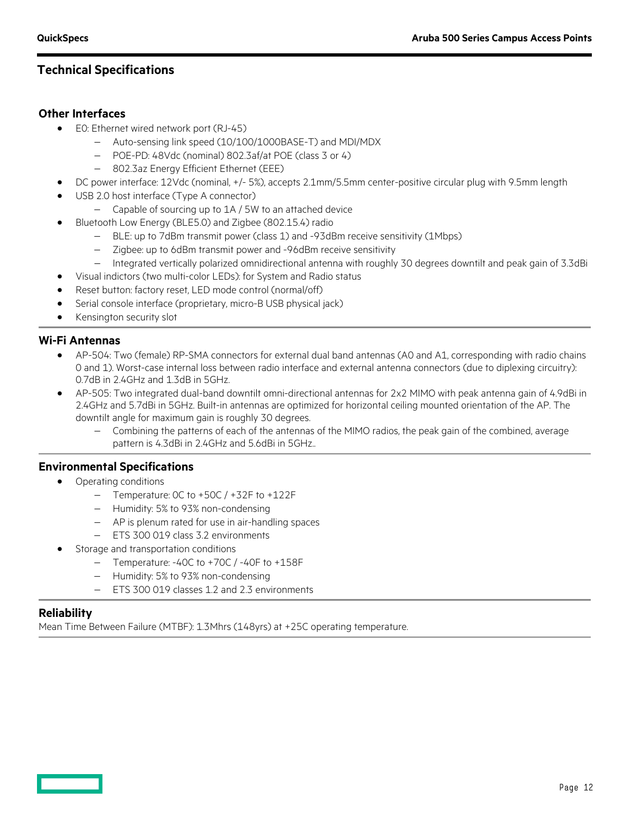#### **Other Interfaces**

- E0: Ethernet wired network port (RJ-45)
	- − Auto-sensing link speed (10/100/1000BASE-T) and MDI/MDX
	- − POE-PD: 48Vdc (nominal) 802.3af/at POE (class 3 or 4)
	- − 802.3az Energy Efficient Ethernet (EEE)
- DC power interface: 12Vdc (nominal, +/- 5%), accepts 2.1mm/5.5mm center-positive circular plug with 9.5mm length
- USB 2.0 host interface (Type A connector)
	- − Capable of sourcing up to 1A / 5W to an attached device
- Bluetooth Low Energy (BLE5.0) and Zigbee (802.15.4) radio
	- − BLE: up to 7dBm transmit power (class 1) and -93dBm receive sensitivity (1Mbps)
	- − Zigbee: up to 6dBm transmit power and -96dBm receive sensitivity
	- − Integrated vertically polarized omnidirectional antenna with roughly 30 degrees downtilt and peak gain of 3.3dBi
- Visual indictors (two multi-color LEDs): for System and Radio status
- Reset button: factory reset, LED mode control (normal/off)
- Serial console interface (proprietary, micro-B USB physical jack)
- Kensington security slot

#### **Wi-Fi Antennas**

- AP-504: Two (female) RP-SMA connectors for external dual band antennas (A0 and A1, corresponding with radio chains 0 and 1). Worst-case internal loss between radio interface and external antenna connectors (due to diplexing circuitry): 0.7dB in 2.4GHz and 1.3dB in 5GHz.
- AP-505: Two integrated dual-band downtilt omni-directional antennas for 2x2 MIMO with peak antenna gain of 4.9dBi in 2.4GHz and 5.7dBi in 5GHz. Built-in antennas are optimized for horizontal ceiling mounted orientation of the AP. The downtilt angle for maximum gain is roughly 30 degrees.
	- − Combining the patterns of each of the antennas of the MIMO radios, the peak gain of the combined, average pattern is 4.3dBi in 2.4GHz and 5.6dBi in 5GHz..

#### **Environmental Specifications**

- Operating conditions
	- − Temperature: 0C to +50C / +32F to +122F
	- − Humidity: 5% to 93% non-condensing
	- − AP is plenum rated for use in air-handling spaces
	- − ETS 300 019 class 3.2 environments
- Storage and transportation conditions
	- − Temperature: -40C to +70C / -40F to +158F
	- − Humidity: 5% to 93% non-condensing
	- − ETS 300 019 classes 1.2 and 2.3 environments

#### **Reliability**

Mean Time Between Failure (MTBF): 1.3Mhrs (148yrs) at +25C operating temperature.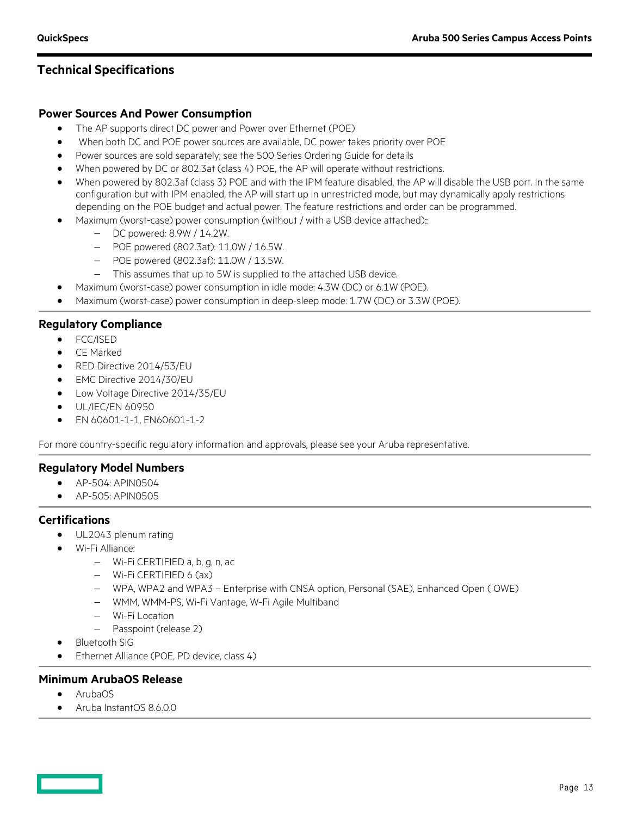#### **Power Sources And Power Consumption**

- The AP supports direct DC power and Power over Ethernet (POE)
- When both DC and POE power sources are available, DC power takes priority over POE
- Power sources are sold separately; see the 500 Series Ordering Guide for details
- When powered by DC or 802.3at (class 4) POE, the AP will operate without restrictions.
- When powered by 802.3af (class 3) POE and with the IPM feature disabled, the AP will disable the USB port. In the same configuration but with IPM enabled, the AP will start up in unrestricted mode, but may dynamically apply restrictions depending on the POE budget and actual power. The feature restrictions and order can be programmed.
- Maximum (worst-case) power consumption (without / with a USB device attached)::
	- − DC powered: 8.9W / 14.2W.
	- − POE powered (802.3at): 11.0W / 16.5W.
	- − POE powered (802.3af): 11.0W / 13.5W.
	- − This assumes that up to 5W is supplied to the attached USB device.
- Maximum (worst-case) power consumption in idle mode: 4.3W (DC) or 6.1W (POE).
- Maximum (worst-case) power consumption in deep-sleep mode: 1.7W (DC) or 3.3W (POE).

#### **Regulatory Compliance**

- FCC/ISED
- CE Marked
- RED Directive 2014/53/EU
- EMC Directive 2014/30/EU
- Low Voltage Directive 2014/35/EU
- UL/IEC/EN 60950
- EN 60601-1-1, EN60601-1-2

For more country-specific regulatory information and approvals, please see your Aruba representative.

#### **Regulatory Model Numbers**

- AP-504: APIN0504
- $\bullet$  AP-505; APIN0505

#### **Certifications**

- UL2043 plenum rating
- Wi-Fi Alliance:
	- − Wi-Fi CERTIFIED a, b, g, n, ac
	- − Wi-Fi CERTIFIED 6 (ax)
	- − WPA, WPA2 and WPA3 Enterprise with CNSA option, Personal (SAE), Enhanced Open ( OWE)
	- − WMM, WMM-PS, Wi-Fi Vantage, W-Fi Agile Multiband
	- − Wi-Fi Location
	- − Passpoint (release 2)
- Bluetooth SIG
- Ethernet Alliance (POE, PD device, class 4)

#### **Minimum ArubaOS Release**

- ArubaOS
- Aruba InstantOS 8.6.0.0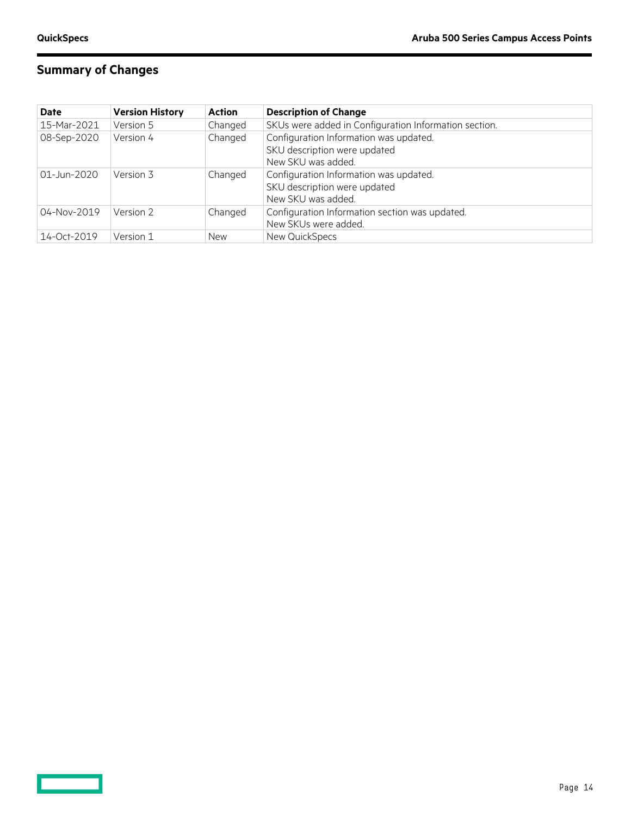# **Summary of Changes**

| <b>Date</b> | <b>Version History</b> | Action     | <b>Description of Change</b>                          |
|-------------|------------------------|------------|-------------------------------------------------------|
| 15-Mar-2021 | Version 5              | Changed    | SKUs were added in Configuration Information section. |
| 08-Sep-2020 | Version 4              | Changed    | Configuration Information was updated.                |
|             |                        |            | SKU description were updated                          |
|             |                        |            | New SKU was added.                                    |
| 01-Jun-2020 | Version 3              | Changed    | Configuration Information was updated.                |
|             |                        |            | SKU description were updated                          |
|             |                        |            | New SKU was added.                                    |
| 04-Nov-2019 | Version 2              | Changed    | Configuration Information section was updated.        |
|             |                        |            | New SKUs were added.                                  |
| 14-Oct-2019 | Version 1              | <b>New</b> | New QuickSpecs                                        |